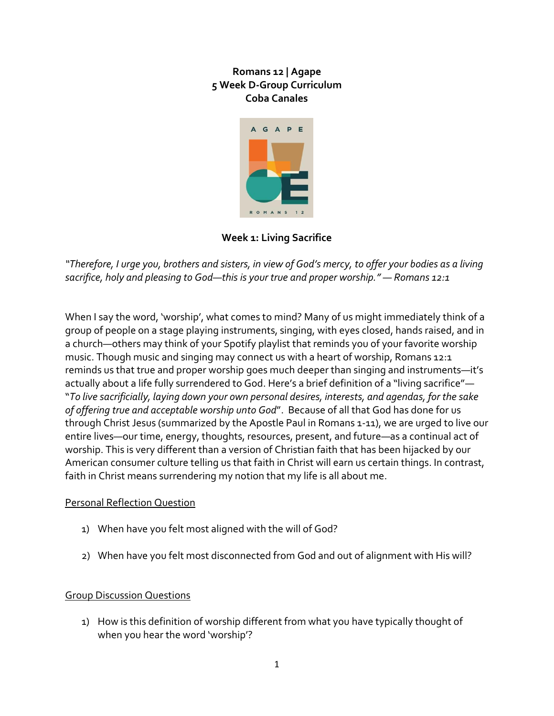

**Week 1: Living Sacrifice**

*"Therefore, I urge you, brothers and sisters, in view of God's mercy, to offer your bodies as a living sacrifice, holy and pleasing to God—this is your true and proper worship."* — *Romans 12:1*

When I say the word, 'worship', what comes to mind? Many of us might immediately think of a group of people on a stage playing instruments, singing, with eyes closed, hands raised, and in a church—others may think of your Spotify playlist that reminds you of your favorite worship music. Though music and singing may connect us with a heart of worship, Romans 12:1 reminds us that true and proper worship goes much deeper than singing and instruments—it's actually about a life fully surrendered to God. Here's a brief definition of a "living sacrifice"— "*To live sacrificially, laying down your own personal desires, interests, and agendas, for the sake of offering true and acceptable worship unto God*". Because of all that God has done for us through Christ Jesus (summarized by the Apostle Paul in Romans 1-11), we are urged to live our entire lives—our time, energy, thoughts, resources, present, and future—as a continual act of worship. This is very different than a version of Christian faith that has been hijacked by our American consumer culture telling us that faith in Christ will earn us certain things. In contrast, faith in Christ means surrendering my notion that my life is all about me.

# Personal Reflection Question

- 1) When have you felt most aligned with the will of God?
- 2) When have you felt most disconnected from God and out of alignment with His will?

## Group Discussion Questions

1) How is this definition of worship different from what you have typically thought of when you hear the word 'worship'?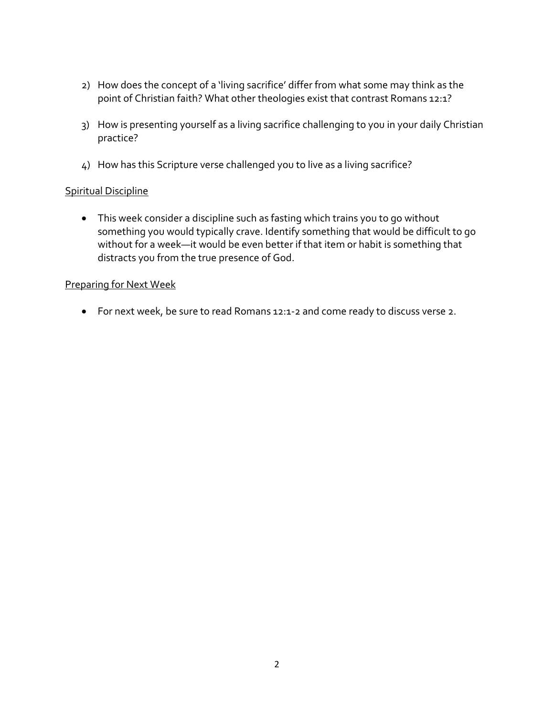- 2) How does the concept of a 'living sacrifice' differ from what some may think as the point of Christian faith? What other theologies exist that contrast Romans 12:1?
- 3) How is presenting yourself as a living sacrifice challenging to you in your daily Christian practice?
- 4) How has this Scripture verse challenged you to live as a living sacrifice?

## Spiritual Discipline

 This week consider a discipline such as fasting which trains you to go without something you would typically crave. Identify something that would be difficult to go without for a week—it would be even better if that item or habit is something that distracts you from the true presence of God.

#### Preparing for Next Week

For next week, be sure to read Romans 12:1-2 and come ready to discuss verse 2.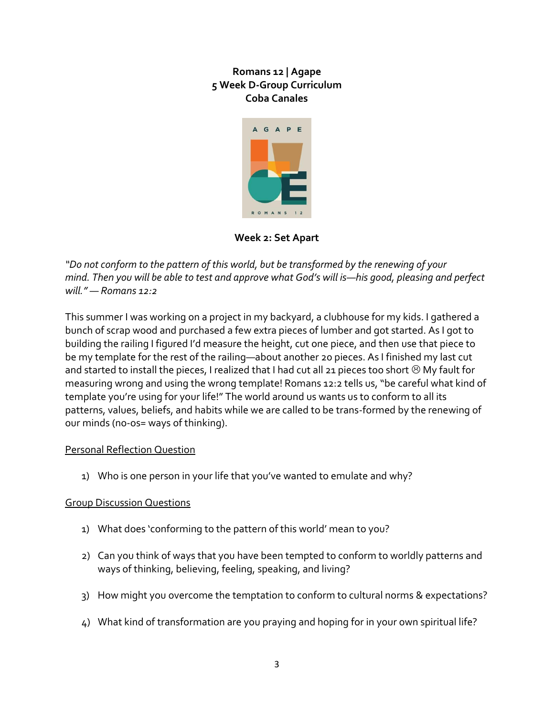

**Week 2: Set Apart**

*"Do not conform to the pattern of this world, but be transformed by the renewing of your mind. Then you will be able to test and approve what God's will is—his good, pleasing and perfect will."* — *Romans 12:2*

This summer I was working on a project in my backyard, a clubhouse for my kids. I gathered a bunch of scrap wood and purchased a few extra pieces of lumber and got started. As I got to building the railing I figured I'd measure the height, cut one piece, and then use that piece to be my template for the rest of the railing—about another 20 pieces. As I finished my last cut and started to install the pieces, I realized that I had cut all 21 pieces too short  $\odot$  My fault for measuring wrong and using the wrong template! Romans 12:2 tells us, "be careful what kind of template you're using for your life!" The world around us wants us to conform to all its patterns, values, beliefs, and habits while we are called to be trans-formed by the renewing of our minds (no-os= ways of thinking).

## Personal Reflection Question

1) Who is one person in your life that you've wanted to emulate and why?

## Group Discussion Questions

- 1) What does 'conforming to the pattern of this world' mean to you?
- 2) Can you think of ways that you have been tempted to conform to worldly patterns and ways of thinking, believing, feeling, speaking, and living?
- 3) How might you overcome the temptation to conform to cultural norms & expectations?
- 4) What kind of transformation are you praying and hoping for in your own spiritual life?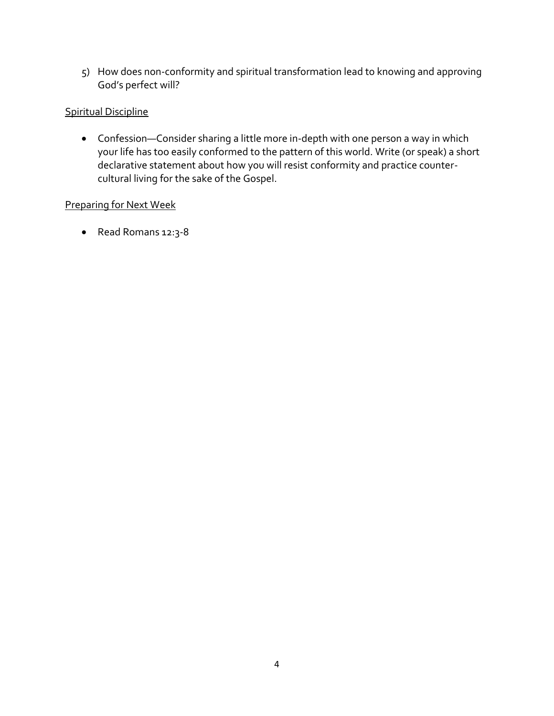5) How does non-conformity and spiritual transformation lead to knowing and approving God's perfect will?

## Spiritual Discipline

 Confession—Consider sharing a little more in-depth with one person a way in which your life has too easily conformed to the pattern of this world. Write (or speak) a short declarative statement about how you will resist conformity and practice countercultural living for the sake of the Gospel.

## Preparing for Next Week

Read Romans 12:3-8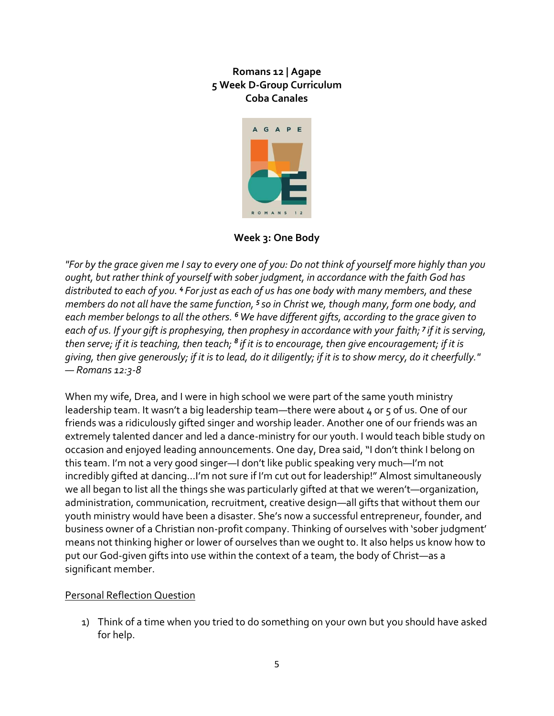

**Week 3: One Body**

*"For by the grace given me I say to every one of you: Do not think of yourself more highly than you ought, but rather think of yourself with sober judgment, in accordance with the faith God has distributed to each of you. <sup>4</sup> For just as each of us has one body with many members, and these members do not all have the same function, <sup>5</sup> so in Christ we, though many, form one body, and each member belongs to all the others. <sup>6</sup>We have different gifts, according to the grace given to each of us. If your gift is prophesying, then prophesy in accordance with your faith; <sup>7</sup> if it is serving, then serve; if it is teaching, then teach; <sup>8</sup> if it is to encourage, then give encouragement; if it is giving, then give generously; if it is to lead, do it diligently; if it is to show mercy, do it cheerfully."* — *Romans 12:3-8*

When my wife, Drea, and I were in high school we were part of the same youth ministry leadership team. It wasn't a big leadership team—there were about 4 or 5 of us. One of our friends was a ridiculously gifted singer and worship leader. Another one of our friends was an extremely talented dancer and led a dance-ministry for our youth. I would teach bible study on occasion and enjoyed leading announcements. One day, Drea said, "I don't think I belong on this team. I'm not a very good singer—I don't like public speaking very much—I'm not incredibly gifted at dancing…I'm not sure if I'm cut out for leadership!" Almost simultaneously we all began to list all the things she was particularly gifted at that we weren't—organization, administration, communication, recruitment, creative design—all gifts that without them our youth ministry would have been a disaster. She's now a successful entrepreneur, founder, and business owner of a Christian non-profit company. Thinking of ourselves with 'sober judgment' means not thinking higher or lower of ourselves than we ought to. It also helps us know how to put our God-given gifts into use within the context of a team, the body of Christ—as a significant member.

# Personal Reflection Question

1) Think of a time when you tried to do something on your own but you should have asked for help.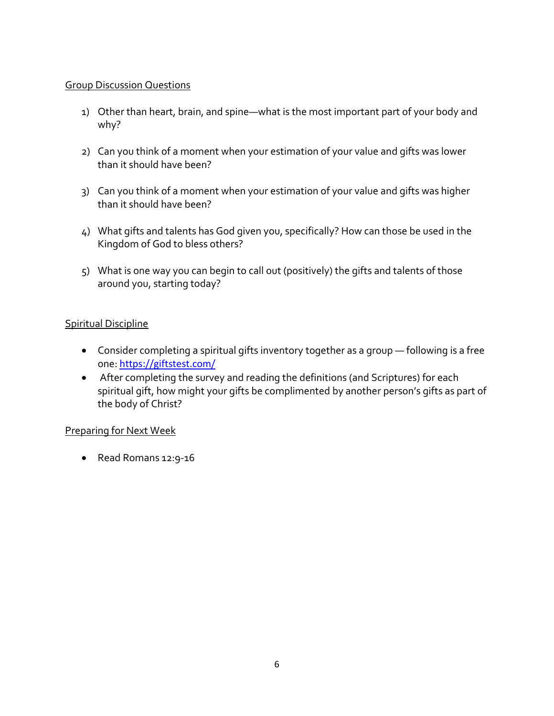## Group Discussion Questions

- 1) Other than heart, brain, and spine—what is the most important part of your body and why?
- 2) Can you think of a moment when your estimation of your value and gifts was lower than it should have been?
- 3) Can you think of a moment when your estimation of your value and gifts was higher than it should have been?
- 4) What gifts and talents has God given you, specifically? How can those be used in the Kingdom of God to bless others?
- 5) What is one way you can begin to call out (positively) the gifts and talents of those around you, starting today?

# Spiritual Discipline

- Consider completing a spiritual gifts inventory together as a group following is a free one: <https://giftstest.com/>
- After completing the survey and reading the definitions (and Scriptures) for each spiritual gift, how might your gifts be complimented by another person's gifts as part of the body of Christ?

## Preparing for Next Week

Read Romans 12:9-16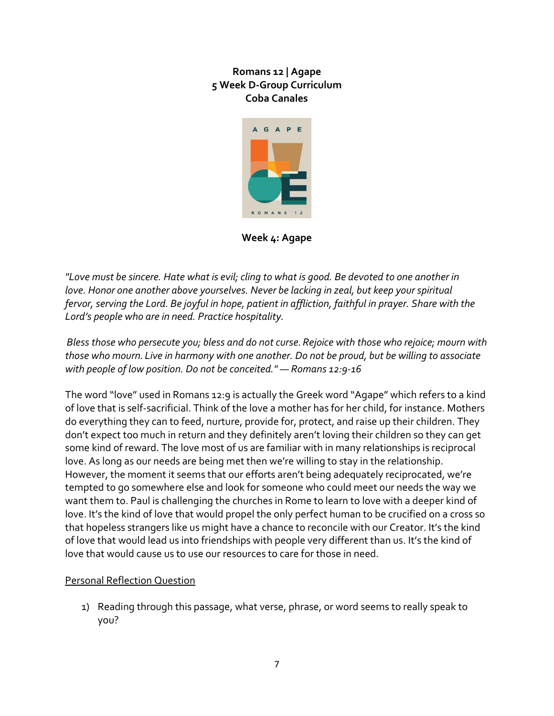

**Week 4: Agape**

*"Love must be sincere. Hate what is evil; cling to what is good. Be devoted to one another in love. Honor one another above yourselves. Never be lacking in zeal, but keep your spiritual fervor,serving the Lord. Be joyful in hope, patient in affliction, faithful in prayer. Share with the Lord's people who are in need. Practice hospitality.*

*Bless those who persecute you; bless and do not curse.Rejoice with those who rejoice; mourn with those who mourn. Live in harmony with one another. Do not be proud, but be willing to associate with people of low position. Do not be conceited."* — *Romans 12:9-16*

The word "love" used in Romans 12:9 is actually the Greek word "Agape" which refers to a kind of love that is self-sacrificial. Think of the love a mother has for her child, for instance. Mothers do everything they can to feed, nurture, provide for, protect, and raise up their children. They don't expect too much in return and they definitely aren't loving their children so they can get some kind of reward. The love most of us are familiar with in many relationships is reciprocal love. As long as our needs are being met then we're willing to stay in the relationship. However, the moment it seems that our efforts aren't being adequately reciprocated, we're tempted to go somewhere else and look for someone who could meet our needs the way we want them to. Paul is challenging the churches in Rome to learn to love with a deeper kind of love. It's the kind of love that would propel the only perfect human to be crucified on a cross so that hopeless strangers like us might have a chance to reconcile with our Creator. It's the kind of love that would lead us into friendships with people very different than us. It's the kind of love that would cause us to use our resources to care for those in need.

## Personal Reflection Question

1) Reading through this passage, what verse, phrase, or word seems to really speak to you?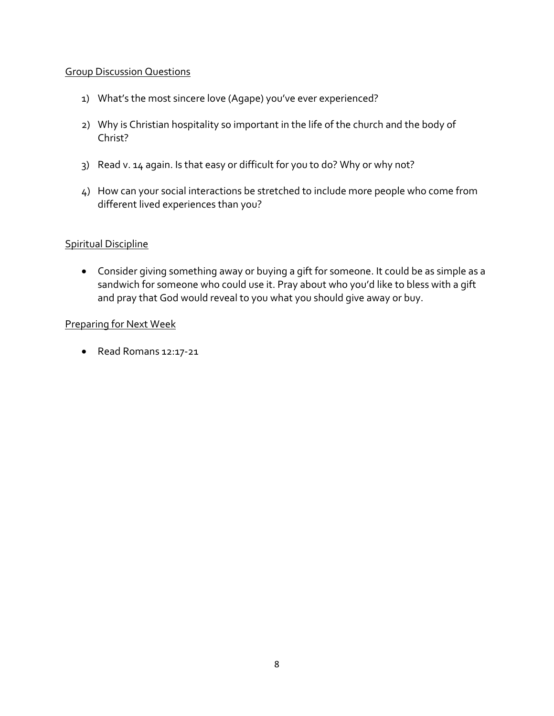#### Group Discussion Questions

- 1) What's the most sincere love (Agape) you've ever experienced?
- 2) Why is Christian hospitality so important in the life of the church and the body of Christ?
- 3) Read v. 14 again. Is that easy or difficult for you to do? Why or why not?
- 4) How can your social interactions be stretched to include more people who come from different lived experiences than you?

#### Spiritual Discipline

 Consider giving something away or buying a gift for someone. It could be as simple as a sandwich for someone who could use it. Pray about who you'd like to bless with a gift and pray that God would reveal to you what you should give away or buy.

#### Preparing for Next Week

Read Romans 12:17-21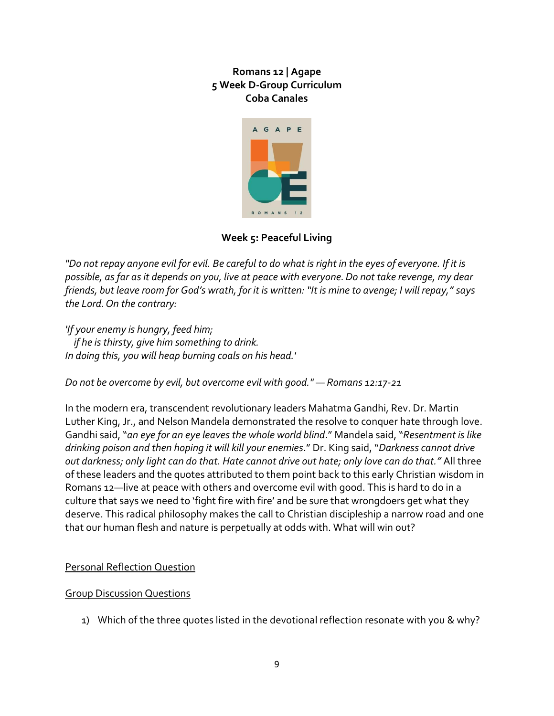

# **Week 5: Peaceful Living**

*"Do not repay anyone evil for evil. Be careful to do what is right in the eyes of everyone. If it is possible, as far as it depends on you, live at peace with everyone.Do not take revenge, my dear friends, but leave room for God's wrath, for it is written: "It is mine to avenge; I will repay," says the Lord.On the contrary:*

*'If your enemy is hungry, feed him; if he is thirsty, give him something to drink. In doing this, you will heap burning coals on his head.'*

*Do not be overcome by evil, but overcome evil with good."* — *Romans 12:17-21*

In the modern era, transcendent revolutionary leaders Mahatma Gandhi, Rev. Dr. Martin Luther King, Jr., and Nelson Mandela demonstrated the resolve to conquer hate through love. Gandhi said, "*an eye for an eye leaves the whole world blind*." Mandela said, "*Resentment is like drinking poison and then hoping it will kill your enemies*." Dr. King said, "*Darkness cannot drive out darkness; only light can do that. Hate cannot drive out hate; only love can do that."* All three of these leaders and the quotes attributed to them point back to this early Christian wisdom in Romans 12—live at peace with others and overcome evil with good. This is hard to do in a culture that says we need to 'fight fire with fire' and be sure that wrongdoers get what they deserve. This radical philosophy makes the call to Christian discipleship a narrow road and one that our human flesh and nature is perpetually at odds with. What will win out?

## Personal Reflection Question

## Group Discussion Questions

1) Which of the three quotes listed in the devotional reflection resonate with you & why?